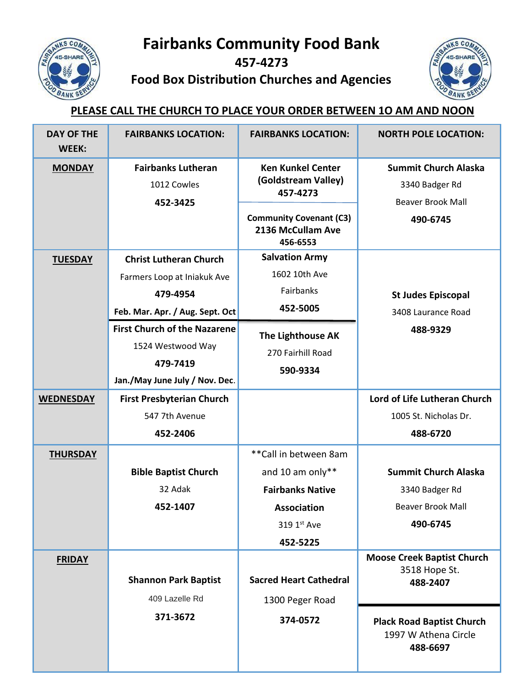

**Fairbanks Community Food Bank**

**457-4273**

**Food Box Distribution Churches and Agencies**



## **PLEASE CALL THE CHURCH TO PLACE YOUR ORDER BETWEEN 1O AM AND NOON**

| <b>DAY OF THE</b><br><b>WEEK:</b> | <b>FAIRBANKS LOCATION:</b>                                           | <b>FAIRBANKS LOCATION:</b>                                      | <b>NORTH POLE LOCATION:</b>                                          |
|-----------------------------------|----------------------------------------------------------------------|-----------------------------------------------------------------|----------------------------------------------------------------------|
| <b>MONDAY</b>                     | <b>Fairbanks Lutheran</b>                                            | <b>Ken Kunkel Center</b>                                        | <b>Summit Church Alaska</b>                                          |
|                                   | 1012 Cowles                                                          | (Goldstream Valley)<br>457-4273                                 | 3340 Badger Rd                                                       |
|                                   | 452-3425                                                             |                                                                 | <b>Beaver Brook Mall</b>                                             |
|                                   |                                                                      | <b>Community Covenant (C3)</b><br>2136 McCullam Ave<br>456-6553 | 490-6745                                                             |
| <b>TUESDAY</b>                    | <b>Christ Lutheran Church</b>                                        | <b>Salvation Army</b>                                           |                                                                      |
|                                   | Farmers Loop at Iniakuk Ave                                          | 1602 10th Ave                                                   |                                                                      |
|                                   | 479-4954                                                             | Fairbanks                                                       | <b>St Judes Episcopal</b>                                            |
|                                   | Feb. Mar. Apr. / Aug. Sept. Oct                                      | 452-5005                                                        | 3408 Laurance Road                                                   |
|                                   | <b>First Church of the Nazarene</b><br>1524 Westwood Way<br>479-7419 | The Lighthouse AK<br>270 Fairhill Road<br>590-9334              | 488-9329                                                             |
|                                   | Jan./May June July / Nov. Dec.                                       |                                                                 |                                                                      |
| <b>WEDNESDAY</b>                  | <b>First Presbyterian Church</b>                                     |                                                                 | Lord of Life Lutheran Church                                         |
|                                   | 547 7th Avenue                                                       |                                                                 | 1005 St. Nicholas Dr.                                                |
|                                   | 452-2406                                                             |                                                                 | 488-6720                                                             |
| <b>THURSDAY</b>                   |                                                                      | ** Call in between 8am                                          |                                                                      |
|                                   | <b>Bible Baptist Church</b>                                          | and 10 am only**                                                | <b>Summit Church Alaska</b>                                          |
|                                   | 32 Adak                                                              | <b>Fairbanks Native</b>                                         | 3340 Badger Rd                                                       |
|                                   | 452-1407                                                             | <b>Association</b>                                              | <b>Beaver Brook Mall</b>                                             |
|                                   |                                                                      | 319 1st Ave                                                     | 490-6745                                                             |
|                                   |                                                                      | 452-5225                                                        |                                                                      |
| <b>FRIDAY</b>                     | <b>Shannon Park Baptist</b><br>409 Lazelle Rd                        | <b>Sacred Heart Cathedral</b><br>1300 Peger Road                | <b>Moose Creek Baptist Church</b><br>3518 Hope St.<br>488-2407       |
|                                   | 371-3672                                                             | 374-0572                                                        | <b>Plack Road Baptist Church</b><br>1997 W Athena Circle<br>488-6697 |